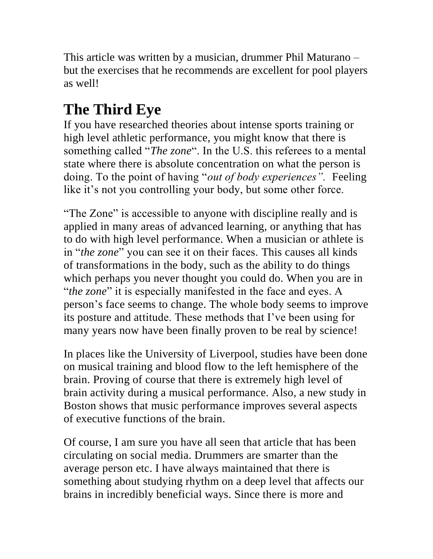This article was written by a musician, drummer Phil Maturano – but the exercises that he recommends are excellent for pool players as well!

## **The Third Eye**

If you have researched theories about intense sports training or high level athletic performance, you might know that there is something called "*The zone*". In the U.S. this referees to a mental state where there is absolute concentration on what the person is doing. To the point of having "*out of body experiences".* Feeling like it's not you controlling your body, but some other force.

"The Zone" is accessible to anyone with discipline really and is applied in many areas of advanced learning, or anything that has to do with high level performance. When a musician or athlete is in "*the zone*" you can see it on their faces. This causes all kinds of transformations in the body, such as the ability to do things which perhaps you never thought you could do. When you are in "*the zone*" it is especially manifested in the face and eyes. A person's face seems to change. The whole body seems to improve its posture and attitude. These methods that I've been using for many years now have been finally proven to be real by science!

In places like the University of Liverpool, studies have been done on musical training and blood flow to the left hemisphere of the brain. Proving of course that there is extremely high level of brain activity during a musical performance. Also, a new study in Boston shows that music performance improves several aspects of executive functions of the brain.

Of course, I am sure you have all seen that article that has been circulating on social media. Drummers are smarter than the average person etc. I have always maintained that there is something about studying rhythm on a deep level that affects our brains in incredibly beneficial ways. Since there is more and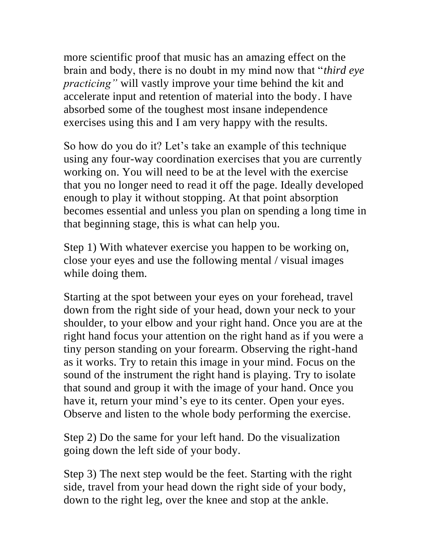more scientific proof that music has an amazing effect on the brain and body, there is no doubt in my mind now that "*third eye practicing"* will vastly improve your time behind the kit and accelerate input and retention of material into the body. I have absorbed some of the toughest most insane independence exercises using this and I am very happy with the results.

So how do you do it? Let's take an example of this technique using any four-way coordination exercises that you are currently working on. You will need to be at the level with the exercise that you no longer need to read it off the page. Ideally developed enough to play it without stopping. At that point absorption becomes essential and unless you plan on spending a long time in that beginning stage, this is what can help you.

Step 1) With whatever exercise you happen to be working on, close your eyes and use the following mental / visual images while doing them.

Starting at the spot between your eyes on your forehead, travel down from the right side of your head, down your neck to your shoulder, to your elbow and your right hand. Once you are at the right hand focus your attention on the right hand as if you were a tiny person standing on your forearm. Observing the right-hand as it works. Try to retain this image in your mind. Focus on the sound of the instrument the right hand is playing. Try to isolate that sound and group it with the image of your hand. Once you have it, return your mind's eye to its center. Open your eyes. Observe and listen to the whole body performing the exercise.

Step 2) Do the same for your left hand. Do the visualization going down the left side of your body.

Step 3) The next step would be the feet. Starting with the right side, travel from your head down the right side of your body, down to the right leg, over the knee and stop at the ankle.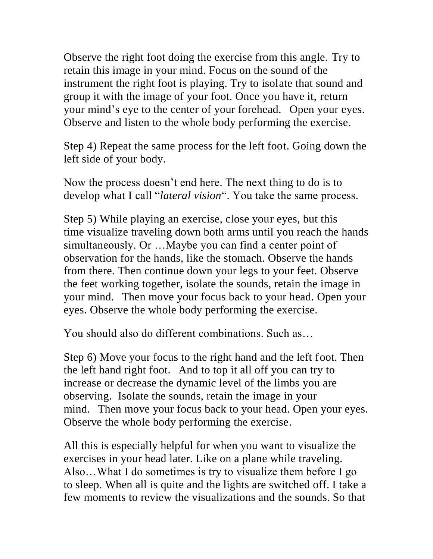Observe the right foot doing the exercise from this angle. Try to retain this image in your mind. Focus on the sound of the instrument the right foot is playing. Try to isolate that sound and group it with the image of your foot. Once you have it, return your mind's eye to the center of your forehead. Open your eyes. Observe and listen to the whole body performing the exercise.

Step 4) Repeat the same process for the left foot. Going down the left side of your body.

Now the process doesn't end here. The next thing to do is to develop what I call "*lateral vision*". You take the same process.

Step 5) While playing an exercise, close your eyes, but this time visualize traveling down both arms until you reach the hands simultaneously. Or …Maybe you can find a center point of observation for the hands, like the stomach. Observe the hands from there. Then continue down your legs to your feet. Observe the feet working together, isolate the sounds, retain the image in your mind. Then move your focus back to your head. Open your eyes. Observe the whole body performing the exercise.

You should also do different combinations. Such as…

Step 6) Move your focus to the right hand and the left foot. Then the left hand right foot. And to top it all off you can try to increase or decrease the dynamic level of the limbs you are observing. Isolate the sounds, retain the image in your mind. Then move your focus back to your head. Open your eyes. Observe the whole body performing the exercise.

All this is especially helpful for when you want to visualize the exercises in your head later. Like on a plane while traveling. Also…What I do sometimes is try to visualize them before I go to sleep. When all is quite and the lights are switched off. I take a few moments to review the visualizations and the sounds. So that